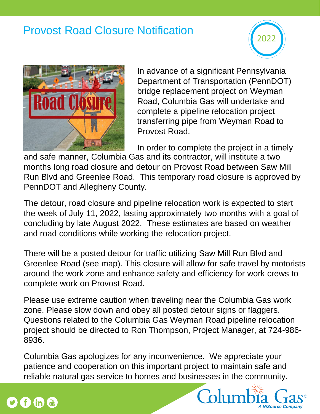## Provost Road Closure Notification





In advance of a significant Pennsylvania Department of Transportation (PennDOT) bridge replacement project on Weyman Road, Columbia Gas will undertake and complete a pipeline relocation project transferring pipe from Weyman Road to Provost Road.

In order to complete the project in a timely

and safe manner, Columbia Gas and its contractor, will institute a two months long road closure and detour on Provost Road between Saw Mill Run Blvd and Greenlee Road. This temporary road closure is approved by PennDOT and Allegheny County.

The detour, road closure and pipeline relocation work is expected to start the week of July 11, 2022, lasting approximately two months with a goal of concluding by late August 2022. These estimates are based on weather and road conditions while working the relocation project.

There will be a posted detour for traffic utilizing Saw Mill Run Blvd and Greenlee Road (see map). This closure will allow for safe travel by motorists around the work zone and enhance safety and efficiency for work crews to complete work on Provost Road.

Please use extreme caution when traveling near the Columbia Gas work zone. Please slow down and obey all posted detour signs or flaggers. Questions related to the Columbia Gas Weyman Road pipeline relocation project should be directed to Ron Thompson, Project Manager, at 724-986- 8936.

Columbia Gas apologizes for any inconvenience. We appreciate your patience and cooperation on this important project to maintain safe and reliable natural gas service to homes and businesses in the community.